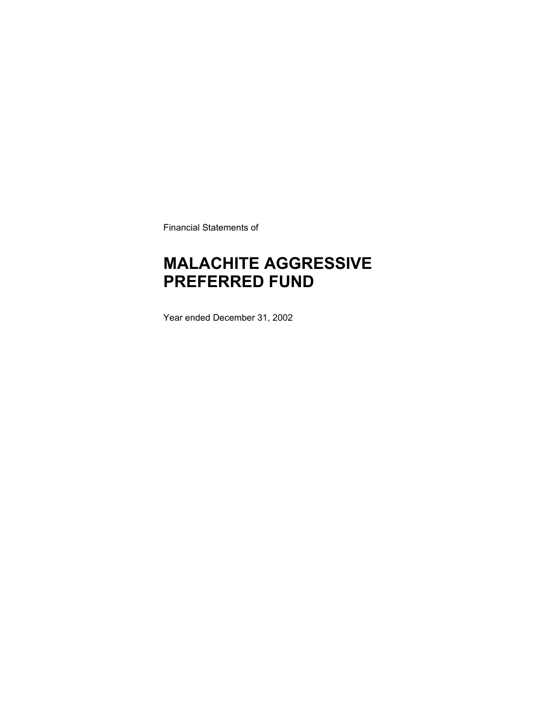Financial Statements of

# **MALACHITE AGGRESSIVE PREFERRED FUND**

Year ended December 31, 2002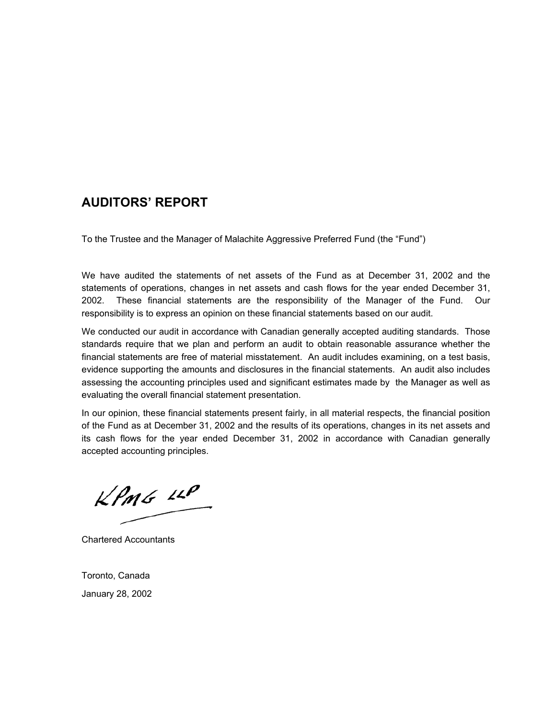### **AUDITORS' REPORT**

To the Trustee and the Manager of Malachite Aggressive Preferred Fund (the "Fund")

We have audited the statements of net assets of the Fund as at December 31, 2002 and the statements of operations, changes in net assets and cash flows for the year ended December 31, 2002. These financial statements are the responsibility of the Manager of the Fund. Our responsibility is to express an opinion on these financial statements based on our audit.

We conducted our audit in accordance with Canadian generally accepted auditing standards. Those standards require that we plan and perform an audit to obtain reasonable assurance whether the financial statements are free of material misstatement. An audit includes examining, on a test basis, evidence supporting the amounts and disclosures in the financial statements. An audit also includes assessing the accounting principles used and significant estimates made by the Manager as well as evaluating the overall financial statement presentation.

In our opinion, these financial statements present fairly, in all material respects, the financial position of the Fund as at December 31, 2002 and the results of its operations, changes in its net assets and its cash flows for the year ended December 31, 2002 in accordance with Canadian generally accepted accounting principles.

 $KPMG$  14P

Chartered Accountants

Toronto, Canada January 28, 2002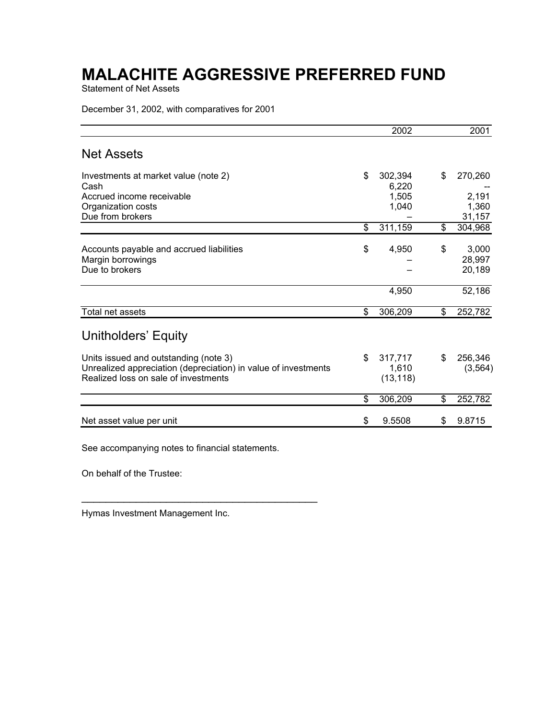Statement of Net Assets

December 31, 2002, with comparatives for 2001

| 2002          |                                                                      | 2001             |
|---------------|----------------------------------------------------------------------|------------------|
|               |                                                                      |                  |
| \$<br>302,394 | \$                                                                   | 270,260          |
|               |                                                                      |                  |
|               |                                                                      | 2,191            |
|               |                                                                      | 1,360<br>31,157  |
| \$<br>311,159 | \$                                                                   | 304,968          |
|               |                                                                      |                  |
|               |                                                                      | 3,000            |
|               |                                                                      | 28,997<br>20,189 |
|               |                                                                      |                  |
| 4,950         |                                                                      | 52,186           |
| \$<br>306,209 | \$                                                                   | 252,782          |
|               |                                                                      |                  |
|               |                                                                      | 256,346          |
|               |                                                                      | (3, 564)         |
| (13, 118)     |                                                                      |                  |
| \$<br>306,209 | \$                                                                   | 252,782          |
|               | S                                                                    | 9.8715           |
| \$<br>\$      | 6,220<br>1,505<br>1,040<br>4,950<br>317,717<br>1,610<br>9.5508<br>\$ | \$<br>\$         |

See accompanying notes to financial statements.

 $\mathcal{L}_\text{max}$  and  $\mathcal{L}_\text{max}$  and  $\mathcal{L}_\text{max}$  and  $\mathcal{L}_\text{max}$ 

On behalf of the Trustee:

Hymas Investment Management Inc.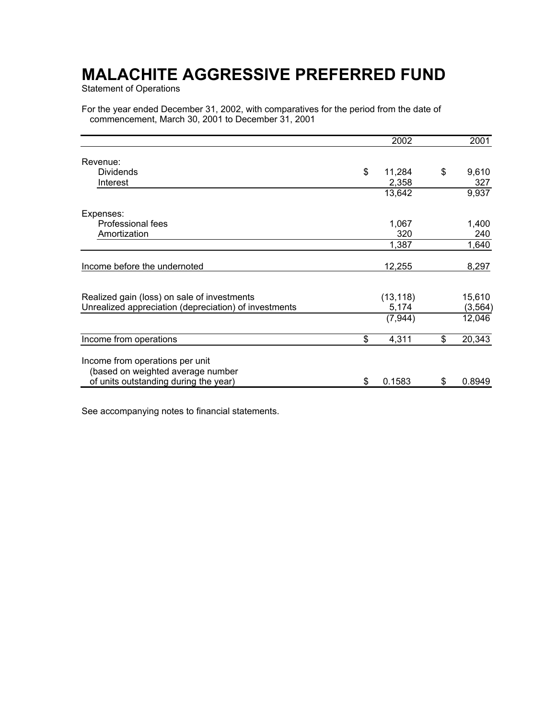Statement of Operations

For the year ended December 31, 2002, with comparatives for the period from the date of commencement, March 30, 2001 to December 31, 2001

|                                                       | 2002         | 2001         |
|-------------------------------------------------------|--------------|--------------|
| Revenue:                                              |              |              |
| <b>Dividends</b>                                      | \$<br>11,284 | \$<br>9,610  |
| Interest                                              | 2,358        | 327          |
|                                                       | 13,642       | 9,937        |
| Expenses:                                             |              |              |
| <b>Professional fees</b>                              | 1,067        | 1,400        |
| Amortization                                          | 320          | 240          |
|                                                       | 1,387        | 1,640        |
| Income before the undernoted                          | 12,255       | 8,297        |
| Realized gain (loss) on sale of investments           | (13, 118)    | 15,610       |
| Unrealized appreciation (depreciation) of investments | 5,174        | (3, 564)     |
|                                                       | (7, 944)     | 12,046       |
| Income from operations                                | \$<br>4,311  | \$<br>20,343 |
| Income from operations per unit                       |              |              |
| (based on weighted average number                     |              |              |
| of units outstanding during the year)                 | \$<br>0.1583 | \$<br>0.8949 |

See accompanying notes to financial statements.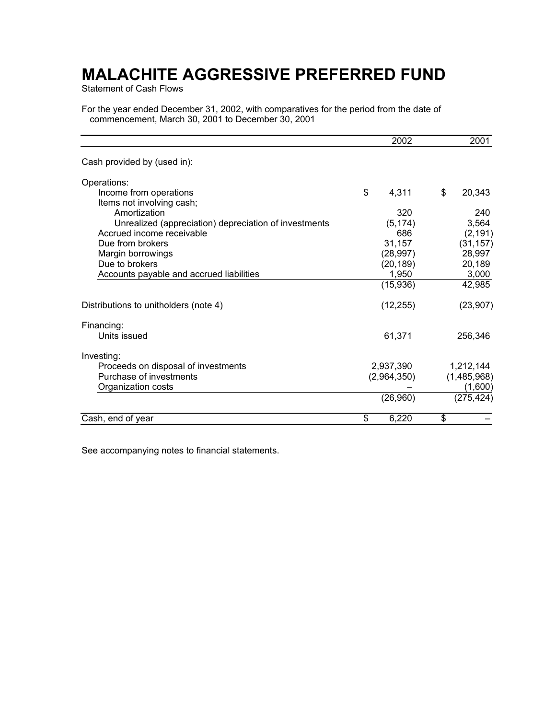Statement of Cash Flows

For the year ended December 31, 2002, with comparatives for the period from the date of commencement, March 30, 2001 to December 30, 2001

|                                                       | 2002        | 2001         |
|-------------------------------------------------------|-------------|--------------|
| Cash provided by (used in):                           |             |              |
| Operations:                                           |             |              |
| Income from operations                                | \$<br>4,311 | \$<br>20,343 |
| Items not involving cash;                             |             |              |
| Amortization                                          | 320         | 240          |
| Unrealized (appreciation) depreciation of investments | (5, 174)    | 3,564        |
| Accrued income receivable                             | 686         | (2, 191)     |
| Due from brokers                                      | 31,157      | (31, 157)    |
| Margin borrowings                                     | (28, 997)   | 28,997       |
| Due to brokers                                        | (20, 189)   | 20,189       |
| Accounts payable and accrued liabilities              | 1,950       | 3,000        |
|                                                       | (15,936)    | 42,985       |
| Distributions to unitholders (note 4)                 | (12, 255)   | (23, 907)    |
| Financing:                                            |             |              |
| Units issued                                          | 61,371      | 256,346      |
| Investing:                                            |             |              |
| Proceeds on disposal of investments                   | 2,937,390   | 1,212,144    |
| Purchase of investments                               | (2,964,350) | (1,485,968)  |
| Organization costs                                    |             | (1,600)      |
|                                                       | (26,960)    | (275, 424)   |
| Cash, end of year                                     | \$<br>6,220 | \$           |

See accompanying notes to financial statements.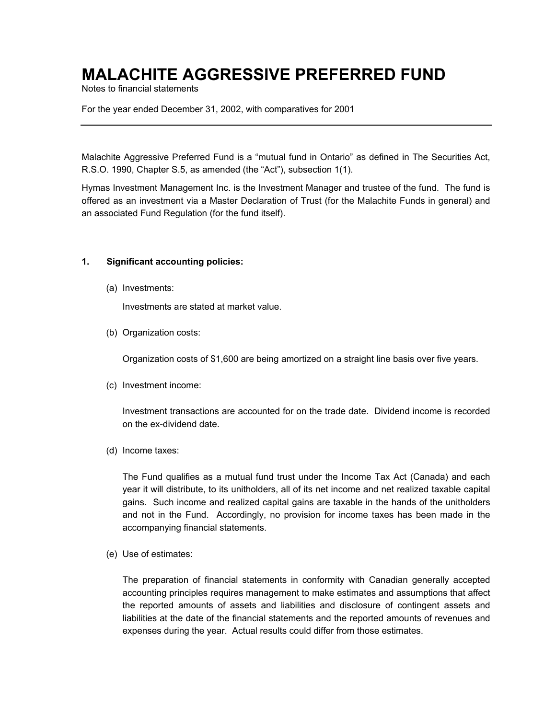Notes to financial statements

For the year ended December 31, 2002, with comparatives for 2001

Malachite Aggressive Preferred Fund is a "mutual fund in Ontario" as defined in The Securities Act, R.S.O. 1990, Chapter S.5, as amended (the "Act"), subsection 1(1).

Hymas Investment Management Inc. is the Investment Manager and trustee of the fund. The fund is offered as an investment via a Master Declaration of Trust (for the Malachite Funds in general) and an associated Fund Regulation (for the fund itself).

#### **1. Significant accounting policies:**

(a) Investments:

Investments are stated at market value.

(b) Organization costs:

Organization costs of \$1,600 are being amortized on a straight line basis over five years.

(c) Investment income:

Investment transactions are accounted for on the trade date. Dividend income is recorded on the ex-dividend date.

(d) Income taxes:

The Fund qualifies as a mutual fund trust under the Income Tax Act (Canada) and each year it will distribute, to its unitholders, all of its net income and net realized taxable capital gains. Such income and realized capital gains are taxable in the hands of the unitholders and not in the Fund. Accordingly, no provision for income taxes has been made in the accompanying financial statements.

(e) Use of estimates:

The preparation of financial statements in conformity with Canadian generally accepted accounting principles requires management to make estimates and assumptions that affect the reported amounts of assets and liabilities and disclosure of contingent assets and liabilities at the date of the financial statements and the reported amounts of revenues and expenses during the year. Actual results could differ from those estimates.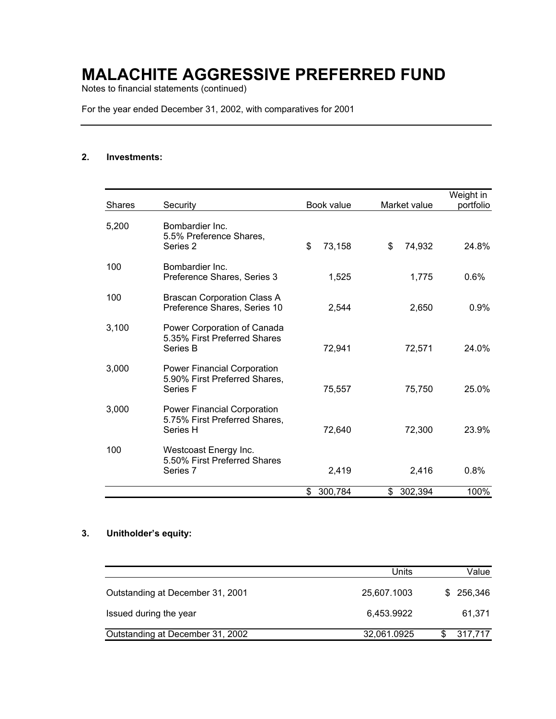Notes to financial statements (continued)

For the year ended December 31, 2002, with comparatives for 2001

### **2. Investments:**

| <b>Shares</b> | Security                                                                            | Book value   | Market value  | Weight in<br>portfolio |
|---------------|-------------------------------------------------------------------------------------|--------------|---------------|------------------------|
| 5,200         | Bombardier Inc.<br>5.5% Preference Shares,<br>Series 2                              | \$<br>73,158 | \$<br>74,932  | 24.8%                  |
| 100           | Bombardier Inc.<br>Preference Shares, Series 3                                      | 1,525        | 1,775         | 0.6%                   |
| 100           | <b>Brascan Corporation Class A</b><br>Preference Shares, Series 10                  | 2,544        | 2,650         | 0.9%                   |
| 3,100         | Power Corporation of Canada<br>5.35% First Preferred Shares<br>Series B             | 72,941       | 72,571        | 24.0%                  |
| 3,000         | Power Financial Corporation<br>5.90% First Preferred Shares,<br>Series <sub>F</sub> | 75,557       | 75,750        | 25.0%                  |
| 3,000         | Power Financial Corporation<br>5.75% First Preferred Shares,<br>Series H            | 72,640       | 72,300        | 23.9%                  |
| 100           | Westcoast Energy Inc.<br>5.50% First Preferred Shares<br>Series 7                   | 2,419        | 2,416         | 0.8%                   |
|               |                                                                                     | 300,784<br>S | 302,394<br>\$ | 100%                   |

### **3. Unitholder's equity:**

|                                  | <b>Units</b> | Value      |
|----------------------------------|--------------|------------|
| Outstanding at December 31, 2001 | 25,607.1003  | \$ 256,346 |
| Issued during the year           | 6.453.9922   | 61,371     |
| Outstanding at December 31, 2002 | 32,061.0925  | 317,717    |